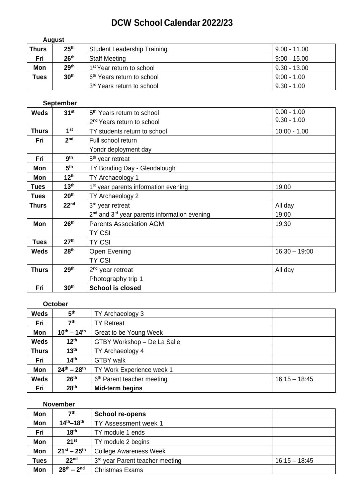# **DCW School Calendar 2022/23**

| August       |                  |                                        |                |
|--------------|------------------|----------------------------------------|----------------|
| <b>Thurs</b> | 25 <sup>th</sup> | <b>Student Leadership Training</b>     | $9.00 - 11.00$ |
| Fri          | 26 <sup>th</sup> | <b>Staff Meeting</b>                   | $9:00 - 15.00$ |
| Mon          | 29 <sup>th</sup> | 1 <sup>st</sup> Year return to school  | $9.30 - 13.00$ |
| Tues         | 30 <sup>th</sup> | 6 <sup>th</sup> Years return to school | $9:00 - 1.00$  |
|              |                  | 3rd Years return to school             | $9.30 - 1.00$  |

## **September**

| <b>Weds</b>  | 31 <sup>st</sup> | 5 <sup>th</sup> Years return to school           | $9.00 - 1.00$   |
|--------------|------------------|--------------------------------------------------|-----------------|
|              |                  | 2 <sup>nd</sup> Years return to school           | $9.30 - 1.00$   |
| <b>Thurs</b> | 1 <sup>st</sup>  | TY students return to school                     | $10:00 - 1.00$  |
| Fri          | 2 <sub>nd</sub>  | Full school return                               |                 |
|              |                  | Yondr deployment day                             |                 |
| Fri          | <b>gth</b>       | 5 <sup>th</sup> year retreat                     |                 |
| Mon          | 5 <sup>th</sup>  | TY Bonding Day - Glendalough                     |                 |
| Mon          | $12^{th}$        | TY Archaeology 1                                 |                 |
| <b>Tues</b>  | 13 <sup>th</sup> | 1 <sup>st</sup> year parents information evening | 19:00           |
| <b>Tues</b>  | 20 <sup>th</sup> | TY Archaeology 2                                 |                 |
| <b>Thurs</b> | 22 <sup>nd</sup> | 3 <sup>rd</sup> year retreat                     | All day         |
|              |                  | $2nd$ and $3rd$ year parents information evening | 19:00           |
| Mon          | 26 <sup>th</sup> | <b>Parents Association AGM</b>                   | 19:30           |
|              |                  | <b>TY CSI</b>                                    |                 |
| <b>Tues</b>  | 27 <sup>th</sup> | <b>TY CSI</b>                                    |                 |
| <b>Weds</b>  | 28 <sup>th</sup> | Open Evening                                     | $16:30 - 19:00$ |
|              |                  | <b>TY CSI</b>                                    |                 |
| <b>Thurs</b> | 29 <sup>th</sup> | $2nd$ year retreat                               | All day         |
|              |                  | Photography trip 1                               |                 |
| Fri          | 30 <sup>th</sup> | <b>School is closed</b>                          |                 |

### **October**

| <b>Weds</b>  | 5 <sup>th</sup>     | TY Archaeology 3                       |                 |
|--------------|---------------------|----------------------------------------|-----------------|
| Fri          | 7 <sup>th</sup>     | <b>TY Retreat</b>                      |                 |
| Mon          | $10^{th} - 14^{th}$ | Great to be Young Week                 |                 |
| <b>Weds</b>  | $12^{th}$           | GTBY Workshop - De La Salle            |                 |
| <b>Thurs</b> | 13 <sup>th</sup>    | TY Archaeology 4                       |                 |
| Fri          | 14 <sup>th</sup>    | <b>GTBY</b> walk                       |                 |
| Mon          | $24^{th} - 28^{th}$ | TY Work Experience week 1              |                 |
| <b>Weds</b>  | 26 <sup>th</sup>    | 6 <sup>th</sup> Parent teacher meeting | $16:15 - 18:45$ |
| Fri          | 28 <sup>th</sup>    | Mid-term begins                        |                 |

#### **November**

| Mon         | 7 <sup>th</sup>     | School re-opens                             |                 |
|-------------|---------------------|---------------------------------------------|-----------------|
| <b>Mon</b>  | $14^{th} - 18^{th}$ | TY Assessment week 1                        |                 |
| Fri         | 18 <sup>th</sup>    | TY module 1 ends                            |                 |
| Mon         | 21 <sup>st</sup>    | TY module 2 begins                          |                 |
| Mon         | $21^{st} - 25^{th}$ | <b>College Awareness Week</b>               |                 |
| <b>Tues</b> | 22 <sup>nd</sup>    | 3 <sup>rd</sup> year Parent teacher meeting | $16:15 - 18:45$ |
| Mon         | $28^{th} - 2^{nd}$  | <b>Christmas Exams</b>                      |                 |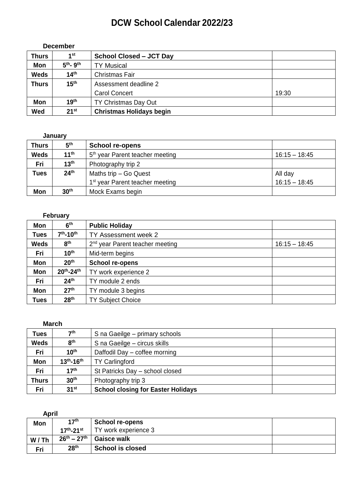## **DCW School Calendar 2022/23**

| <b>December</b> |                  |                                 |       |
|-----------------|------------------|---------------------------------|-------|
| <b>Thurs</b>    | 1st              | <b>School Closed - JCT Day</b>  |       |
| Mon             | $5th$ - $9th$    | <b>TY Musical</b>               |       |
| <b>Weds</b>     | 14 <sup>th</sup> | Christmas Fair                  |       |
| <b>Thurs</b>    | 15 <sup>th</sup> | Assessment deadline 2           |       |
|                 |                  | <b>Carol Concert</b>            | 19:30 |
| Mon             | 19 <sup>th</sup> | TY Christmas Day Out            |       |
| Wed             | $21^{st}$        | <b>Christmas Holidays begin</b> |       |

### **January**

| <b>Thurs</b> | 5 <sup>th</sup>  | <b>School re-opens</b>                      |                 |
|--------------|------------------|---------------------------------------------|-----------------|
| <b>Weds</b>  | 11 <sup>th</sup> | 5 <sup>th</sup> year Parent teacher meeting | $16:15 - 18:45$ |
| Fri          | 13 <sup>th</sup> | Photography trip 2                          |                 |
| <b>Tues</b>  | 24 <sup>th</sup> | Maths trip $-$ Go Quest                     | All day         |
|              |                  | 1 <sup>st</sup> year Parent teacher meeting | $16:15 - 18:45$ |
| <b>Mon</b>   | 30 <sup>th</sup> | Mock Exams begin                            |                 |

### **February**

| Mon         | 6 <sup>th</sup>     | <b>Public Holiday</b>                       |                 |
|-------------|---------------------|---------------------------------------------|-----------------|
| <b>Tues</b> | $7th - 10th$        | TY Assessment week 2                        |                 |
| <b>Weds</b> | 8 <sup>th</sup>     | 2 <sup>nd</sup> year Parent teacher meeting | $16:15 - 18:45$ |
| Fri         | 10 <sup>th</sup>    | Mid-term begins                             |                 |
| <b>Mon</b>  | 20 <sup>th</sup>    | <b>School re-opens</b>                      |                 |
| <b>Mon</b>  | $20^{th} - 24^{th}$ | TY work experience 2                        |                 |
| Fri         | 24 <sup>th</sup>    | TY module 2 ends                            |                 |
| <b>Mon</b>  | 27 <sup>th</sup>    | TY module 3 begins                          |                 |
| Tues        | 28 <sup>th</sup>    | <b>TY Subject Choice</b>                    |                 |

### **March**

| Tues         | 7th                 | S na Gaeilge - primary schools            |
|--------------|---------------------|-------------------------------------------|
| <b>Weds</b>  | 8 <sup>th</sup>     | S na Gaeilge – circus skills              |
| Fri          | $10^{\text{th}}$    | Daffodil Day - coffee morning             |
| Mon          | $13^{th} - 16^{th}$ | <b>TY Carlingford</b>                     |
| Fri          | 17 <sup>th</sup>    | St Patricks Day - school closed           |
| <b>Thurs</b> | 30 <sup>th</sup>    | Photography trip 3                        |
| Fri          | 31 <sup>st</sup>    | <b>School closing for Easter Holidays</b> |

| <b>April</b> |                             |                         |  |
|--------------|-----------------------------|-------------------------|--|
| <b>Mon</b>   | 17 <sup>th</sup>            | <b>School re-opens</b>  |  |
|              | $17^{th}$ -21 <sup>st</sup> | TY work experience 3    |  |
| W/Th         | $26^{th} - 27^{th}$         | Gaisce walk             |  |
| Fri          | 28 <sup>th</sup>            | <b>School is closed</b> |  |